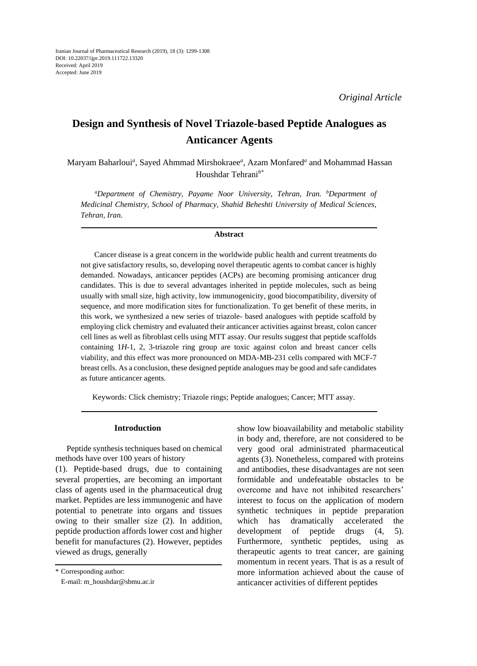# **Design and Synthesis of Novel Triazole-based Peptide Analogues as Anticancer Agents**

Maryam Baharloui<sup>a</sup>, Sayed Ahmmad Mirshokraee<sup>a</sup>, Azam Monfared<sup>a</sup> and Mohammad Hassan Houshdar Tehrani*b\**

*a Department of Chemistry, Payame Noor University, Tehran, Iran. b Department of Medicinal Chemistry, School of Pharmacy, Shahid Beheshti University of Medical Sciences, Tehran, Iran.*

### **Abstract**

Cancer disease is a great concern in the worldwide public health and current treatments do not give satisfactory results, so, developing novel therapeutic agents to combat cancer is highly demanded. Nowadays, anticancer peptides (ACPs) are becoming promising anticancer drug candidates. This is due to several advantages inherited in peptide molecules, such as being usually with small size, high activity, low immunogenicity, good biocompatibility, diversity of sequence, and more modification sites for functionalization. To get benefit of these merits, in this work, we synthesized a new series of triazole- based analogues with peptide scaffold by employing click chemistry and evaluated their anticancer activities against breast, colon cancer cell lines as well as fibroblast cells using MTT assay. Our results suggest that peptide scaffolds containing 1*H*-1, 2, 3-triazole ring group are toxic against colon and breast cancer cells viability, and this effect was more pronounced on MDA-MB-231 cells compared with MCF-7 breast cells. As a conclusion, these designed peptide analogues may be good and safe candidates as future anticancer agents.

Keywords: Click chemistry; Triazole rings; Peptide analogues; Cancer; MTT assay.

## **Introduction**

Peptide synthesis techniques based on chemical methods have over 100 years of history (1). Peptide-based drugs, due to containing several properties, are becoming an important class of agents used in the pharmaceutical drug market. Peptides are less immunogenic and have potential to penetrate into organs and tissues owing to their smaller size (2). In addition, peptide production affords lower cost and higher benefit for manufactures (2). However, peptides viewed as drugs, generally

show low bioavailability and metabolic stability in body and, therefore, are not considered to be very good oral administrated pharmaceutical agents (3). Nonetheless, compared with proteins and antibodies, these disadvantages are not seen formidable and undefeatable obstacles to be overcome and have not inhibited researchers' interest to focus on the application of modern synthetic techniques in peptide preparation which has dramatically accelerated the development of peptide drugs (4, 5). Furthermore, synthetic peptides, using as therapeutic agents to treat cancer, are gaining momentum in recent years. That is as a result of more information achieved about the cause of anticancer activities of different peptides

<sup>\*</sup> Corresponding author:

E-mail: m\_houshdar@sbmu.ac.ir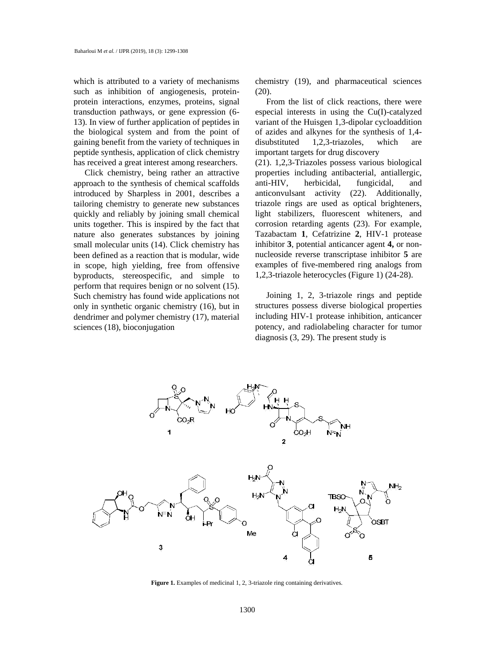which is attributed to a variety of mechanisms such as inhibition of angiogenesis, proteinprotein interactions, enzymes, proteins, signal transduction pathways, or gene expression (6- 13). In view of further application of peptides in the biological system and from the point of gaining benefit from the variety of techniques in peptide synthesis, application of click chemistry has received a great interest among researchers.

Click chemistry, being rather an attractive approach to the synthesis of chemical scaffolds introduced by Sharpless in 2001, describes a tailoring chemistry to generate new substances quickly and reliably by joining small chemical units together. This is inspired by the fact that nature also generates substances by joining small molecular units (14). Click chemistry has been defined as a reaction that is modular, wide in scope, high yielding, free from offensive byproducts, stereospecific, and simple to perform that requires benign or no solvent (15). Such chemistry has found wide applications not only in synthetic organic chemistry (16), but in dendrimer and polymer chemistry (17), material sciences (18), bioconjugation

chemistry (19), and pharmaceutical sciences (20).

From the list of click reactions, there were especial interests in using the Cu(I)-catalyzed variant of the Huisgen 1,3-dipolar cycloaddition of azides and alkynes for the synthesis of 1,4 disubstituted 1,2,3-triazoles, which are important targets for drug discovery

(21). 1,2,3-Triazoles possess various biological properties including antibacterial, antiallergic, anti-HIV, herbicidal, fungicidal, and anticonvulsant activity (22). Additionally, triazole rings are used as optical brighteners, light stabilizers, fluorescent whiteners, and corrosion retarding agents (23). For example, Tazabactam **1**, Cefatrizine **2**, HIV-1 protease inhibitor **3**, potential anticancer agent **4,** or nonnucleoside reverse transcriptase inhibitor **5** are examples of five-membered ring analogs from 1,2,3-triazole heterocycles (Figure 1) (24-28).

Joining 1, 2, 3-triazole rings and peptide structures possess diverse biological properties including HIV-1 protease inhibition, anticancer potency, and radiolabeling character for tumor diagnosis (3, 29). The present study is



Figure 1. Examples of medicinal 1, 2, 3-triazole ring containing derivatives.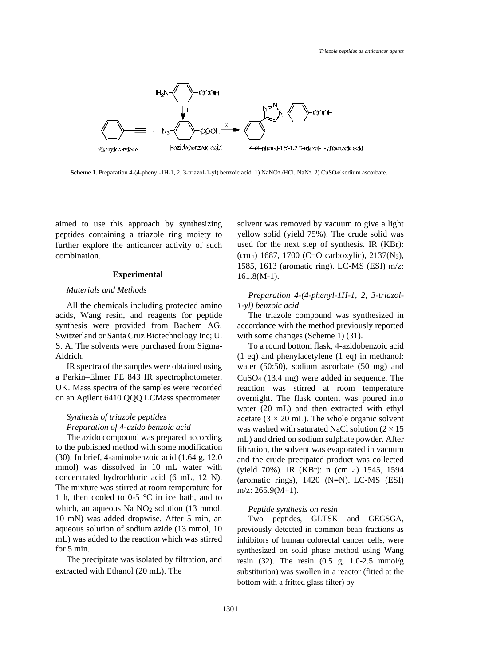

**Scheme 1.** Preparation 4-(4-phenyl-1H-1, 2, 3-triazol-1-yl) benzoic acid. 1) NaNO2 /HCl, NaN3. 2) CuSO4/ sodium ascorbate.

aimed to use this approach by synthesizing peptides containing a triazole ring moiety to further explore the anticancer activity of such combination.

## **Experimental**

# *Materials and Methods*

All the chemicals including protected amino acids, Wang resin, and reagents for peptide synthesis were provided from Bachem AG, Switzerland or Santa Cruz Biotechnology Inc; U. S. A. The solvents were purchased from Sigma-Aldrich.

IR spectra of the samples were obtained using a Perkin–Elmer PE 843 IR spectrophotometer, UK. Mass spectra of the samples were recorded on an Agilent 6410 QQQ LCMass spectrometer.

# *Synthesis of triazole peptides*

*Preparation of 4-azido benzoic acid*

The azido compound was prepared according to the published method with some modification (30). In brief, 4-aminobenzoic acid (1.64 g, 12.0 mmol) was dissolved in 10 mL water with concentrated hydrochloric acid (6 mL, 12 N). The mixture was stirred at room temperature for 1 h, then cooled to 0-5  $\degree$ C in ice bath, and to which, an aqueous Na  $NO<sub>2</sub>$  solution (13 mmol, 10 mN) was added dropwise. After 5 min, an aqueous solution of sodium azide (13 mmol, 10 mL) was added to the reaction which was stirred for 5 min.

The precipitate was isolated by filtration, and extracted with Ethanol (20 mL). The

solvent was removed by vacuum to give a light yellow solid (yield 75%). The crude solid was used for the next step of synthesis. IR (KBr): (cm-1) 1687, 1700 (C=O carboxylic), 2137(N3), 1585, 1613 (aromatic ring). LC-MS (ESI) m/z: 161.8(M-1).

*Preparation 4-(4-phenyl-1H-1, 2, 3-triazol-1-yl) benzoic acid*

The triazole compound was synthesized in accordance with the method previously reported with some changes (Scheme 1) (31).

To a round bottom flask, 4-azidobenzoic acid (1 eq) and phenylacetylene (1 eq) in methanol: water (50:50), sodium ascorbate (50 mg) and CuSO<sup>4</sup> (13.4 mg) were added in sequence. The reaction was stirred at room temperature overnight. The flask content was poured into water (20 mL) and then extracted with ethyl acetate ( $3 \times 20$  mL). The whole organic solvent was washed with saturated NaCl solution ( $2 \times 15$ ) mL) and dried on sodium sulphate powder. After filtration, the solvent was evaporated in vacuum and the crude precipated product was collected (yield 70%). IR (KBr): n (cm -1) 1545, 1594 (aromatic rings), 1420 (N=N). LC-MS (ESI) m/z: 265.9(M+1).

#### *Peptide synthesis on resin*

Two peptides, GLTSK and GEGSGA, previously detected in common bean fractions as inhibitors of human colorectal cancer cells, were synthesized on solid phase method using Wang resin (32). The resin (0.5 g, 1.0-2.5 mmol/g substitution) was swollen in a reactor (fitted at the bottom with a fritted glass filter) by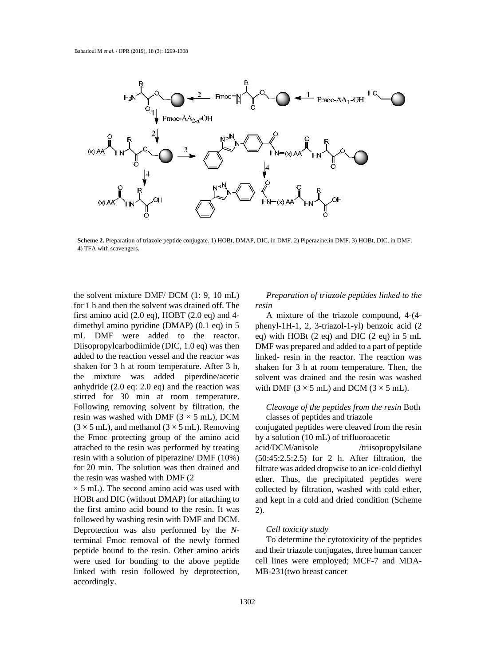

**Scheme 2.** Preparation of triazole peptide conjugate. 1) HOBt, DMAP, DIC, in DMF. 2) Piperazine,in DMF. 3) HOBt, DIC, in DMF. 4) TFA with scavengers.

the solvent mixture DMF/ DCM (1: 9, 10 mL) for 1 h and then the solvent was drained off. The first amino acid (2.0 eq), HOBT (2.0 eq) and 4 dimethyl amino pyridine (DMAP) (0.1 eq) in 5 mL DMF were added to the reactor. Diisopropylcarbodiimide (DIC, 1.0 eq) was then added to the reaction vessel and the reactor was shaken for 3 h at room temperature. After 3 h, the mixture was added piperdine/acetic anhydride (2.0 eq: 2.0 eq) and the reaction was stirred for 30 min at room temperature. Following removing solvent by filtration, the resin was washed with DMF  $(3 \times 5 \text{ mL})$ , DCM  $(3 \times 5 \text{ mL})$ , and methanol  $(3 \times 5 \text{ mL})$ . Removing the Fmoc protecting group of the amino acid attached to the resin was performed by treating resin with a solution of piperazine/ DMF (10%) for 20 min. The solution was then drained and the resin was washed with DMF (2

 $\times$  5 mL). The second amino acid was used with HOBt and DIC (without DMAP) for attaching to the first amino acid bound to the resin. It was followed by washing resin with DMF and DCM. Deprotection was also performed by the *N*terminal Fmoc removal of the newly formed peptide bound to the resin. Other amino acids were used for bonding to the above peptide linked with resin followed by deprotection, accordingly.

*Preparation of triazole peptides linked to the resin*

A mixture of the triazole compound, 4-(4 phenyl-1H-1, 2, 3-triazol-1-yl) benzoic acid (2 eq) with HOBt (2 eq) and DIC (2 eq) in 5 mL DMF was prepared and added to a part of peptide linked- resin in the reactor. The reaction was shaken for 3 h at room temperature. Then, the solvent was drained and the resin was washed with DMF ( $3 \times 5$  mL) and DCM ( $3 \times 5$  mL).

# *Cleavage of the peptides from the resin* Both classes of peptides and triazole

conjugated peptides were cleaved from the resin by a solution (10 mL) of trifluoroacetic

acid/DCM/anisole /triisopropylsilane (50:45:2.5:2.5) for 2 h. After filtration, the filtrate was added dropwise to an ice-cold diethyl ether. Thus, the precipitated peptides were collected by filtration, washed with cold ether, and kept in a cold and dried condition (Scheme 2).

# *Cell toxicity study*

To determine the cytotoxicity of the peptides and their triazole conjugates, three human cancer cell lines were employed; MCF-7 and MDA-MB-231(two breast cancer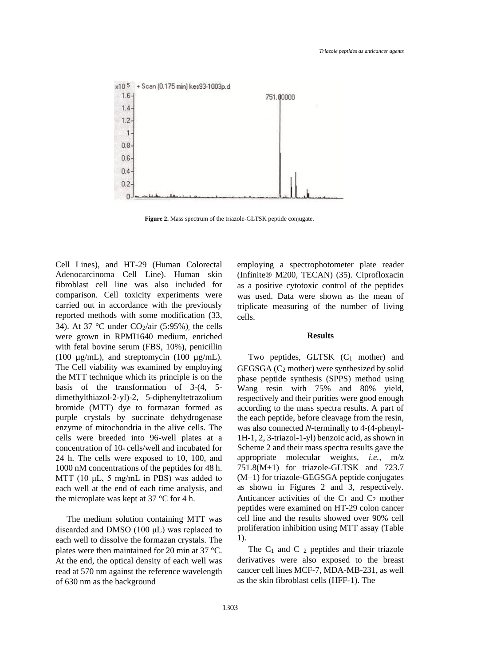

**Figure 2.** Mass spectrum of the triazole-GLTSK peptide conjugate.

Cell Lines), and HT-29 (Human Colorectal Adenocarcinoma Cell Line). Human skin fibroblast cell line was also included for comparison. Cell toxicity experiments were carried out in accordance with the previously reported methods with some modification (33, 34). At 37 °C under  $CO_2$ /air (5:95%), the cells were grown in RPMI1640 medium, enriched with fetal bovine serum (FBS, 10%), penicillin (100  $\mu$ g/mL), and streptomycin (100  $\mu$ g/mL). The Cell viability was examined by employing the MTT technique which its principle is on the basis of the transformation of 3-(4, 5 dimethylthiazol-2-yl)-2, 5-diphenyltetrazolium bromide (MTT) dye to formazan formed as purple crystals by succinate dehydrogenase enzyme of mitochondria in the alive cells. The cells were breeded into 96-well plates at a concentration of 10<sup>4</sup> cells/well and incubated for 24 h. The cells were exposed to 10, 100, and 1000 nM concentrations of the peptides for 48 h. MTT (10 μL, 5 mg/mL in PBS) was added to each well at the end of each time analysis, and the microplate was kept at 37  $\degree$ C for 4 h.

The medium solution containing MTT was discarded and DMSO (100 μL) was replaced to each well to dissolve the formazan crystals. The plates were then maintained for 20 min at 37 °C. At the end, the optical density of each well was read at 570 nm against the reference wavelength of 630 nm as the background

employing a spectrophotometer plate reader (Infinite® M200, TECAN) (35). Ciprofloxacin as a positive cytotoxic control of the peptides was used. Data were shown as the mean of triplicate measuring of the number of living cells.

## **Results**

Two peptides,  $GLTSK$  ( $C_1$  mother) and  $GEGSGA (C<sub>2</sub> mother) were synthesized by solid$ phase peptide synthesis (SPPS) method using Wang resin with 75% and 80% yield, respectively and their purities were good enough according to the mass spectra results. A part of the each peptide, before cleavage from the resin, was also connected *N*-terminally to 4-(4-phenyl-1H-1, 2, 3-triazol-1-yl) benzoic acid, as shown in Scheme 2 and their mass spectra results gave the appropriate molecular weights, *i.e.*, m/z 751.8(M+1) for triazole-GLTSK and 723.7 (M+1) for triazole-GEGSGA peptide conjugates as shown in Figures 2 and 3, respectively. Anticancer activities of the  $C_1$  and  $C_2$  mother peptides were examined on HT-29 colon cancer cell line and the results showed over 90% cell proliferation inhibition using MTT assay (Table 1).

The  $C_1$  and  $C_2$  peptides and their triazole derivatives were also exposed to the breast cancer cell lines MCF-7, MDA-MB-231, as well as the skin fibroblast cells (HFF-1). The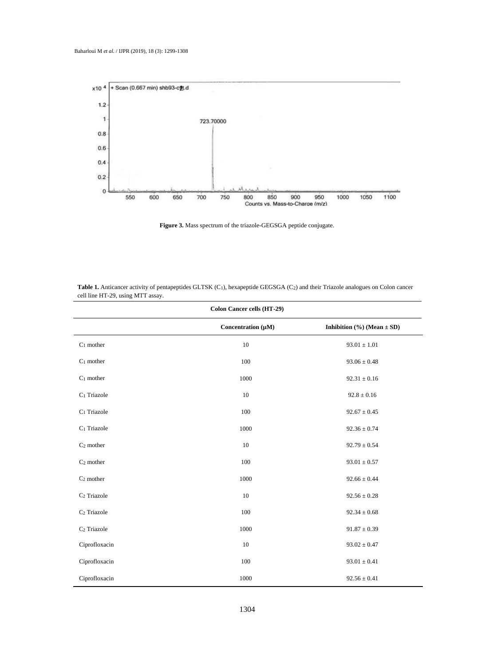

**Figure 3.** Mass spectrum of the triazole-GEGSGA peptide conjugate.

| <b>Colon Cancer cells (HT-29)</b> |                         |                                    |  |  |
|-----------------------------------|-------------------------|------------------------------------|--|--|
|                                   | Concentration $(\mu M)$ | Inhibition $(\% )$ (Mean $\pm$ SD) |  |  |
| $C_1$ mother                      | 10                      | $93.01 \pm 1.01$                   |  |  |
| $C_1$ mother                      | 100                     | $93.06 \pm 0.48$                   |  |  |
| $C_1$ mother                      | 1000                    | $92.31 \pm 0.16$                   |  |  |
| C <sub>1</sub> Triazole           | 10                      | $92.8 \pm 0.16$                    |  |  |
| $C_1$ Triazole                    | 100                     | $92.67 \pm 0.45$                   |  |  |
| $C_1$ Triazole                    | 1000                    | $92.36 \pm 0.74$                   |  |  |
| $C_2$ mother                      | 10                      | $92.79 \pm 0.54$                   |  |  |
| $C_2$ mother                      | 100                     | $93.01 \pm 0.57$                   |  |  |
| $C_2$ mother                      | 1000                    | $92.66 \pm 0.44$                   |  |  |
| C <sub>2</sub> Triazole           | 10                      | $92.56 \pm 0.28$                   |  |  |
| C <sub>2</sub> Triazole           | 100                     | $92.34 \pm 0.68$                   |  |  |
| C <sub>2</sub> Triazole           | 1000                    | $91.87\pm0.39$                     |  |  |
| Ciprofloxacin                     | 10                      | $93.02\pm0.47$                     |  |  |
| Ciprofloxacin                     | 100                     | $93.01 \pm 0.41$                   |  |  |
| Ciprofloxacin                     | 1000                    | $92.56 \pm 0.41$                   |  |  |

**Table 1.** Anticancer activity of pentapeptides GLTSK (C1), hexapeptide GEGSGA (C2) and their Triazole analogues on Colon cancer cell line HT-29, using MTT assay.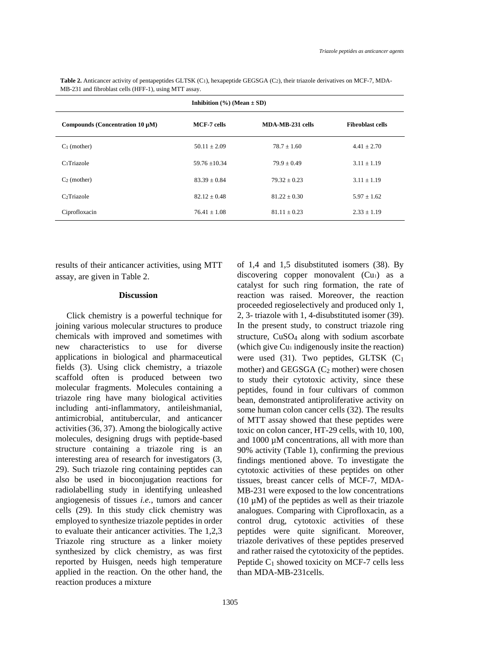| Inhibition $(\% )$ (Mean $\pm$ SD)   |                  |                  |                         |  |
|--------------------------------------|------------------|------------------|-------------------------|--|
| Compounds (Concentration 10 $\mu$ M) | MCF-7 cells      | MDA-MB-231 cells | <b>Fibroblast cells</b> |  |
| $C_1$ (mother)                       | $50.11 \pm 2.09$ | $78.7 + 1.60$    | $4.41 \pm 2.70$         |  |
| C <sub>1</sub> Triazole              | $59.76 + 10.34$  | $79.9 + 0.49$    | $3.11 \pm 1.19$         |  |
| $C2$ (mother)                        | $83.39 + 0.84$   | $79.32 + 0.23$   | $3.11 \pm 1.19$         |  |
| C <sub>2</sub> Triazole              | $82.12 + 0.48$   | $81.22 + 0.30$   | $5.97 \pm 1.62$         |  |
| Ciprofloxacin                        | $76.41 + 1.08$   | $81.11 + 0.23$   | $2.33 \pm 1.19$         |  |

Table 2. Anticancer activity of pentapeptides GLTSK (C<sub>1</sub>), hexapeptide GEGSGA (C<sub>2</sub>), their triazole derivatives on MCF-7, MDA-MB-231 and fibroblast cells (HFF-1), using MTT assay.

results of their anticancer activities, using MTT assay, are given in Table 2.

#### **Discussion**

Click chemistry is a powerful technique for joining various molecular structures to produce chemicals with improved and sometimes with new characteristics to use for diverse applications in biological and pharmaceutical fields (3). Using click chemistry, a triazole scaffold often is produced between two molecular fragments. Molecules containing a triazole ring have many biological activities including anti-inflammatory, antileishmanial, antimicrobial, antitubercular, and anticancer activities (36, 37). Among the biologically active molecules, designing drugs with peptide-based structure containing a triazole ring is an interesting area of research for investigators (3, 29). Such triazole ring containing peptides can also be used in bioconjugation reactions for radiolabelling study in identifying unleashed angiogenesis of tissues *i.e.*, tumors and cancer cells (29). In this study click chemistry was employed to synthesize triazole peptides in order to evaluate their anticancer activities. The 1,2,3 Triazole ring structure as a linker moiety synthesized by click chemistry, as was first reported by Huisgen, needs high temperature applied in the reaction. On the other hand, the reaction produces a mixture

of 1,4 and 1,5 disubstituted isomers (38). By discovering copper monovalent (Cu<sub>1</sub>) as a catalyst for such ring formation, the rate of reaction was raised. Moreover, the reaction proceeded regioselectively and produced only 1, 2, 3- triazole with 1, 4-disubstituted isomer (39). In the present study, to construct triazole ring structure, CuSO<sup>4</sup> along with sodium ascorbate (which give Cu<sup>1</sup> indigenously insite the reaction) were used  $(31)$ . Two peptides, GLTSK  $(C_1)$ mother) and GEGSGA  $(C_2$  mother) were chosen to study their cytotoxic activity, since these peptides, found in four cultivars of common bean, demonstrated antiproliferative activity on some human colon cancer cells (32). The results of MTT assay showed that these peptides were toxic on colon cancer, HT-29 cells, with 10, 100, and 1000 µM concentrations, all with more than 90% activity (Table 1), confirming the previous findings mentioned above. To investigate the cytotoxic activities of these peptides on other tissues, breast cancer cells of MCF-7, MDA-MB-231 were exposed to the low concentrations (10  $\mu$ M) of the peptides as well as their triazole analogues. Comparing with Ciprofloxacin, as a control drug, cytotoxic activities of these peptides were quite significant. Moreover, triazole derivatives of these peptides preserved and rather raised the cytotoxicity of the peptides. Peptide  $C_1$  showed toxicity on MCF-7 cells less than MDA-MB-231cells.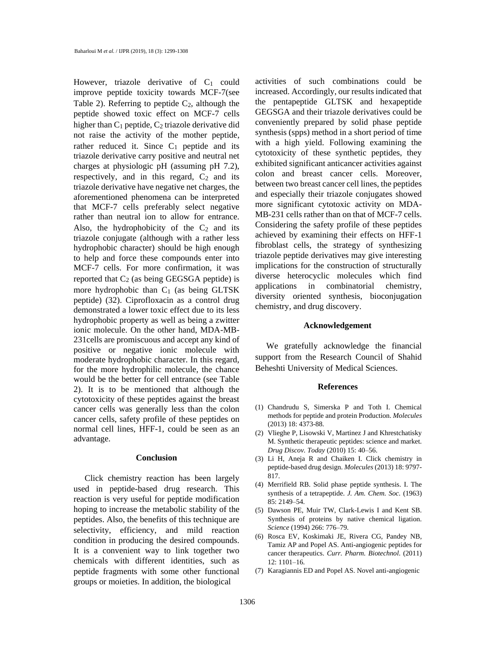However, triazole derivative of  $C_1$  could improve peptide toxicity towards MCF-7(see Table 2). Referring to peptide  $C_2$ , although the peptide showed toxic effect on MCF-7 cells higher than  $C_1$  peptide,  $C_2$  triazole derivative did not raise the activity of the mother peptide, rather reduced it. Since  $C_1$  peptide and its triazole derivative carry positive and neutral net charges at physiologic pH (assuming pH 7.2), respectively, and in this regard,  $C_2$  and its triazole derivative have negative net charges, the aforementioned phenomena can be interpreted that MCF-7 cells preferably select negative rather than neutral ion to allow for entrance. Also, the hydrophobicity of the  $C_2$  and its triazole conjugate (although with a rather less hydrophobic character) should be high enough to help and force these compounds enter into MCF-7 cells. For more confirmation, it was reported that  $C_2$  (as being GEGSGA peptide) is more hydrophobic than  $C_1$  (as being GLTSK peptide) (32). Ciprofloxacin as a control drug demonstrated a lower toxic effect due to its less hydrophobic property as well as being a zwitter ionic molecule. On the other hand, MDA-MB-231cells are promiscuous and accept any kind of positive or negative ionic molecule with moderate hydrophobic character. In this regard, for the more hydrophilic molecule, the chance would be the better for cell entrance (see Table 2). It is to be mentioned that although the cytotoxicity of these peptides against the breast cancer cells was generally less than the colon cancer cells, safety profile of these peptides on normal cell lines, HFF-1, could be seen as an advantage.

## **Conclusion**

Click chemistry reaction has been largely used in peptide-based drug research. This reaction is very useful for peptide modification hoping to increase the metabolic stability of the peptides. Also, the benefits of this technique are selectivity, efficiency, and mild reaction condition in producing the desired compounds. It is a convenient way to link together two chemicals with different identities, such as peptide fragments with some other functional groups or moieties. In addition, the biological

activities of such combinations could be increased. Accordingly, our results indicated that the pentapeptide GLTSK and hexapeptide GEGSGA and their triazole derivatives could be conveniently prepared by solid phase peptide synthesis (spps) method in a short period of time with a high yield. Following examining the cytotoxicity of these synthetic peptides, they exhibited significant anticancer activities against colon and breast cancer cells. Moreover, between two breast cancer cell lines, the peptides and especially their triazole conjugates showed more significant cytotoxic activity on MDA-MB-231 cells rather than on that of MCF-7 cells. Considering the safety profile of these peptides achieved by examining their effects on HFF-1 fibroblast cells, the strategy of synthesizing triazole peptide derivatives may give interesting implications for the construction of structurally diverse heterocyclic molecules which find applications in combinatorial chemistry, diversity oriented synthesis, bioconjugation chemistry, and drug discovery.

#### **Acknowledgement**

We gratefully acknowledge the financial support from the Research Council of Shahid Beheshti University of Medical Sciences.

### **References**

- (1) Chandrudu S, Simerska P and Toth I. Chemical methods for peptide and protein Production. *Molecules* (2013) 18: 4373-88.
- (2) Vlieghe P, Lisowski V, Martinez J and Khrestchatisky M. Synthetic therapeutic peptides: science and market. *Drug Discov. Today* (2010) 15: 40–56.
- (3) Li H, Aneja R and Chaiken I. Click chemistry in peptide-based drug design. *Molecules* (2013) 18: 9797- 817.
- (4) Merrifield RB. Solid phase peptide synthesis. I. The synthesis of a tetrapeptide. *J. Am. Chem. Soc.* (1963) 85: 2149–54.
- (5) Dawson PE, Muir TW, Clark-Lewis I and Kent SB. Synthesis of proteins by native chemical ligation. *Science* (1994) 266: 776–79.
- (6) Rosca EV, Koskimaki JE, Rivera CG, Pandey NB, Tamiz AP and Popel AS. Anti-angiogenic peptides for cancer therapeutics. *Curr. Pharm. Biotechnol*. (2011) 12: 1101–16.
- (7) Karagiannis ED and Popel AS. Novel anti-angiogenic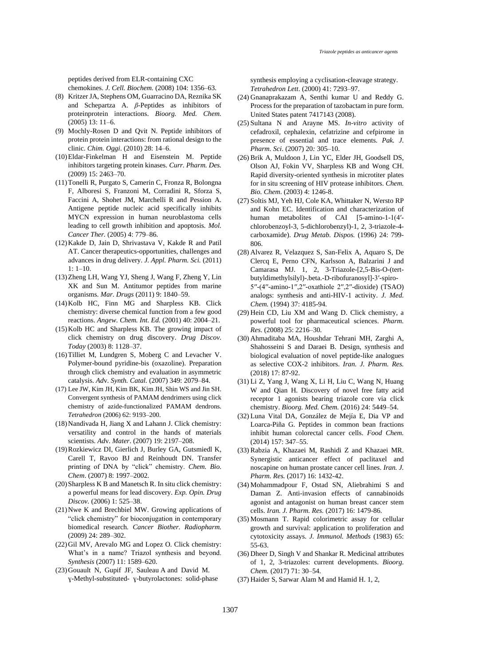peptides derived from ELR-containing CXC

chemokines. *J. Cell. Biochem.* (2008) 104: 1356–63.

- (8) Kritzer JA, Stephens OM, Guarracino DA, Reznika SK and Schepartza A. *β*-Peptides as inhibitors of proteinprotein interactions. *Bioorg. Med. Chem.* (2005) 13: 11–6.
- (9) Mochly-Rosen D and Qvit N. Peptide inhibitors of protein protein interactions: from rational design to the clinic. *Chim. Oggi*. (2010) 28: 14–6.
- (10)Eldar-Finkelman H and Eisenstein M. Peptide inhibitors targeting protein kinases. *Curr. Pharm. Des.* (2009) 15: 2463–70.
- (11)Tonelli R, Purgato S, Camerin C, Fronza R, Bolongna F, Alboresi S, Franzoni M, Corradini R, Sforza S, Faccini A, Shohet JM, Marchelli R and Pession A. Antigene peptide nucleic acid specifically inhibits MYCN expression in human neuroblastoma cells leading to cell growth inhibition and apoptosis. *Mol. Cancer Ther.* (2005) 4: 779–86.
- (12)Kakde D, Jain D, Shrivastava V, Kakde R and Patil AT. Cancer therapeutics-opportunities, challenges and advances in drug delivery. *J. Appl. Pharm. Sci.* (2011) 1: 1–10.
- (13)Zheng LH, Wang YJ, Sheng J, Wang F, Zheng Y, Lin XK and Sun M. Antitumor peptides from marine organisms. *Mar. Drugs* (2011) 9: 1840–59.
- (14)Kolb HC, Finn MG and Sharpless KB. Click chemistry: diverse chemical function from a few good reactions. *Angew. Chem. Int. Ed.* (2001) 40: 2004–21.
- (15)Kolb HC and Sharpless KB. The growing impact of click chemistry on drug discovery. *Drug Discov. Today* (2003) 8: 1128–37.
- (16)Tilliet M, Lundgren S, Moberg C and Levacher V. Polymer-bound pyridine-bis (oxazoline). Preparation through click chemistry and evaluation in asymmetric catalysis. *Ad*v*. Synth. Catal.* (2007) 349: 2079–84.
- (17) Lee JW, Kim JH, Kim BK, Kim JH, Shin WS and Jin SH. Convergent synthesis of PAMAM dendrimers using click chemistry of azide-functionalized PAMAM dendrons. *Tetrahedron* (2006) 62: 9193–200.
- $(18)$  Nandivada H, Jiang X and Lahann J. Click chemistry: versatility and control in the hands of materials scientists. *Ad*v*. Mater*. (2007) 19: 2197–208.
- (19)Rozkiewicz DI, Gierlich J, Burley GA, Gutsmiedl K, Carell T, Ravoo BJ and Reinhoudt DN. Transfer printing of DNA by "click" chemistry. *Chem. Bio. Chem*. (2007) 8: 1997–2002.
- (20)Sharpless K B and Manetsch R. In situ click chemistry: a powerful means for lead discovery. *Exp. Opin. Drug Discov.* (2006) 1: 525–38.
- (21)Nwe K and Brechbiel MW. Growing applications of "click chemistry" for bioconjugation in contemporary biomedical research*. Cancer Biother. Radiopharm.* (2009) 24: 289–302.
- (22)Gil MV, Arevalo MG and Lopez O. Click chemistry: What's in a name? Triazol synthesis and beyond. *Synthesis* (2007) 11: 1589–620.
- (23)Gouault N, Gupif JF, Sauleau A and David M. ɣ-Methyl-substituted- ɣ-butyrolactones: solid-phase

synthesis employing a cyclisation-cleavage strategy. *Tetrahedron Lett*. (2000) 41: 7293–97.

- (24) Gnanaprakazam A, Senthi kumar U and Reddy G. Process for the preparation of tazobactam in pure form. United States patent 7417143 (2008).
- (25) Sultana N and Arayne MS. *In-vitro* activity of cefadroxil, cephalexin, cefatrizine and cefpirome in presence of essential and trace elements. *Pak. J. Pharm. Sci*. (2007) 20*:* 305–10.
- (26) Brik A, Muldoon J, Lin YC, Elder JH, Goodsell DS, Olson AJ, Fokin VV, Sharpless KB and Wong CH. Rapid diversity-oriented synthesis in microtiter plates for in situ screening of HIV protease inhibitors. *Chem. Bio. Chem*. (2003) 4: 1246-8.
- (27) Soltis MJ, Yeh HJ, Cole KA, Whittaker N, Wersto RP and Kohn EC. Identification and characterization of human metabolites of CAI [5-amino-1-1(4′ chlorobenzoyl-3, 5-dichlorobenzyl)-1, 2, 3-triazole-4 carboxamide). *Drug Metab. Dispos.* (1996) 24: 799- 806.
- (28) Alvarez R, Velazquez S, San-Felix A, Aquaro S, De Clercq E, Perno CFN, Karlsson A, Balzarini J and Camarasa MJ. 1, 2, 3-Triazole-[2,5-Bis-O-(tertbutyldimethylsilyl)-.beta.-D-ribofuranosyl]-3′-spiro-5′′-(4′′-amino-1′′,2′′-oxathiole 2′′,2′′-dioxide) (TSAO) analogs: synthesis and anti-HIV-1 activity. *J. Med. Chem.* (1994) 37: 4185-94.
- (29) Hein CD, Liu XM and Wang D. Click chemistry, a powerful tool for pharmaceutical sciences. *Pharm. Res*. (2008) 25: 2216–30.
- (30) Ahmaditaba MA, Houshdar Tehrani MH, Zarghi A, Shahosseini S and Daraei B. Design, synthesis and biological evaluation of novel peptide-like analogues as selective COX-2 inhibitors. *Iran. J. Pharm. Res.* (2018) 17: 87-92.
- (31) Li Z, Yang J, Wang X, Li H, Liu C, Wang N, Huang W and Qian H. Discovery of novel free fatty acid receptor 1 agonists bearing triazole core via click chemistry. *Bioorg. Med. Chem.* (2016) 24: 5449–54.
- (32) Luna Vital DA, González de Mejía E, Dia VP and Loarca-Piña G. Peptides in common bean fractions inhibit human colorectal cancer cells. *Food Chem.* (2014) 157: 347–55.
- (33) Rabzia A, Khazaei M, Rashidi Z and Khazaei MR. Synergistic anticancer effect of paclitaxel and noscapine on human prostate cancer cell lines. *Iran. J. Pharm. Res.* (2017) 16: 1432-42.
- (34) Mohammadpour F, Ostad SN, Aliebrahimi S and Daman Z. Anti-invasion effects of cannabinoids agonist and antagonist on human breast cancer stem cells. *Iran. J. Pharm. Res.* (2017) 16: 1479-86.
- (35) Mosmann T. Rapid colorimetric assay for cellular growth and survival: application to proliferation and cytotoxicity assays. *J. Immunol. Methods* (1983) 65: 55-63.
- (36) Dheer D, Singh V and Shankar R. Medicinal attributes of 1, 2, 3-triazoles: current developments. *Bioorg. Chem.* (2017) 71: 30–54.
- (37) Haider S, Sarwar Alam M and Hamid H. 1, 2,